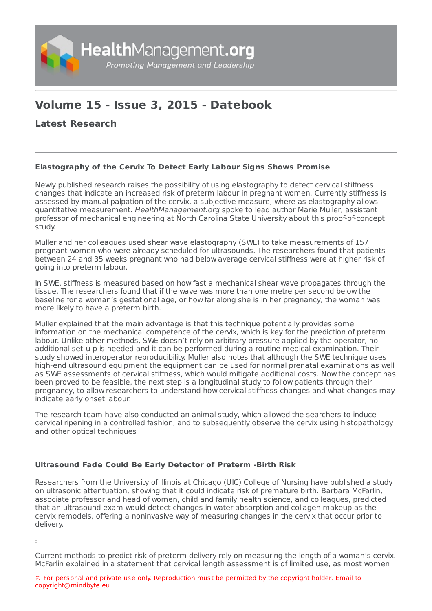

## **Volume 15 - Issue 3, 2015 - Datebook**

**Latest [Research](https://healthmanagement.org/s/latest-research)**

## **Elastography of the Cervix To Detect Early Labour Signs Shows Promise**

Newly published research raises the possibility of using elastography to detect cervical stiffness changes that indicate an increased risk of preterm labour in pregnant women. Currently stiffness is assessed by manual palpation of the cervix, a subjective measure, where as elastography allows quantitative measurement. HealthManagement.org spoke to lead author Marie Muller, assistant professor of mechanical engineering at North Carolina State University about this proof-of-concept study.

Muller and her colleagues used shear wave elastography (SWE) to take measurements of 157 pregnant women who were already scheduled for ultrasounds. The researchers found that patients between 24 and 35 weeks pregnant who had below average cervical stiffness were at higher risk of going into preterm labour.

In SWE, stiffness is measured based on how fast a mechanical shear wave propagates through the tissue. The researchers found that if the wave was more than one metre per second below the baseline for a woman's gestational age, or how far along she is in her pregnancy, the woman was more likely to have a preterm birth.

Muller explained that the main advantage is that this technique potentially provides some information on the mechanical competence of the cervix, which is key for the prediction of preterm labour. Unlike other methods, SWE doesn't rely on arbitrary pressure applied by the operator, no additional set-u p is needed and it can be performed during a routine medical examination. Their study showed interoperator reproducibility. Muller also notes that although the SWE technique uses high-end ultrasound equipment the equipment can be used for normal prenatal examinations as well as SWE assessments of cervical stiffness, which would mitigate additional costs. Now the concept has been proved to be feasible, the next step is a longitudinal study to follow patients through their pregnancy, to allow researchers to understand how cervical stiffness changes and what changes may indicate early onset labour.

The research team have also conducted an animal study, which allowed the searchers to induce cervical ripening in a controlled fashion, and to subsequently observe the cervix using histopathology and other optical techniques

## **Ultrasound Fade Could Be Early Detector of Preterm -Birth Risk**

Researchers from the University of Illinois at Chicago (UIC) College of Nursing have published a study on ultrasonic attentuation, showing that it could indicate risk of premature birth. Barbara McFarlin, associate professor and head of women, child and family health science, and colleagues, predicted that an ultrasound exam would detect changes in water absorption and collagen makeup as the cervix remodels, offering a noninvasive way of measuring changes in the cervix that occur prior to delivery.

 $\Box$ 

Current methods to predict risk of preterm delivery rely on measuring the length of a woman's cervix. McFarlin explained in a statement that cervical length assessment is of limited use, as most women